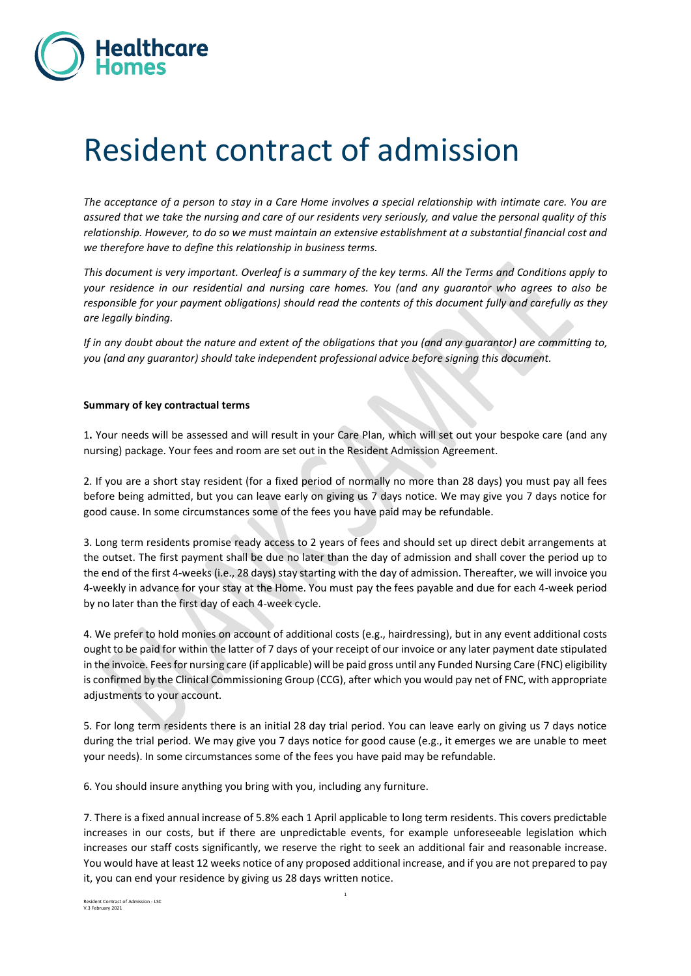

# Resident contract of admission

*The acceptance of a person to stay in a Care Home involves a special relationship with intimate care. You are assured that we take the nursing and care of our residents very seriously, and value the personal quality of this relationship. However, to do so we must maintain an extensive establishment at a substantial financial cost and we therefore have to define this relationship in business terms.* 

*This document is very important. Overleaf is a summary of the key terms. All the Terms and Conditions apply to your residence in our residential and nursing care homes. You (and any guarantor who agrees to also be responsible for your payment obligations) should read the contents of this document fully and carefully as they are legally binding.*

*If in any doubt about the nature and extent of the obligations that you (and any guarantor) are committing to, you (and any guarantor) should take independent professional advice before signing this document.*

#### **Summary of key contractual terms**

1**.** Your needs will be assessed and will result in your Care Plan, which will set out your bespoke care (and any nursing) package. Your fees and room are set out in the Resident Admission Agreement.

2. If you are a short stay resident (for a fixed period of normally no more than 28 days) you must pay all fees before being admitted, but you can leave early on giving us 7 days notice. We may give you 7 days notice for good cause. In some circumstances some of the fees you have paid may be refundable.

3. Long term residents promise ready access to 2 years of fees and should set up direct debit arrangements at the outset. The first payment shall be due no later than the day of admission and shall cover the period up to the end of the first 4-weeks (i.e., 28 days) stay starting with the day of admission. Thereafter, we will invoice you 4-weekly in advance for your stay at the Home. You must pay the fees payable and due for each 4-week period by no later than the first day of each 4-week cycle.

4. We prefer to hold monies on account of additional costs (e.g., hairdressing), but in any event additional costs ought to be paid for within the latter of 7 days of your receipt of our invoice or any later payment date stipulated in the invoice. Fees for nursing care (if applicable) will be paid gross until any Funded Nursing Care (FNC) eligibility is confirmed by the Clinical Commissioning Group (CCG), after which you would pay net of FNC, with appropriate adjustments to your account.

5. For long term residents there is an initial 28 day trial period. You can leave early on giving us 7 days notice during the trial period. We may give you 7 days notice for good cause (e.g., it emerges we are unable to meet your needs). In some circumstances some of the fees you have paid may be refundable.

6. You should insure anything you bring with you, including any furniture.

7. There is a fixed annual increase of 5.8% each 1 April applicable to long term residents. This covers predictable increases in our costs, but if there are unpredictable events, for example unforeseeable legislation which increases our staff costs significantly, we reserve the right to seek an additional fair and reasonable increase. You would have at least 12 weeks notice of any proposed additional increase, and if you are not prepared to pay it, you can end your residence by giving us 28 days written notice.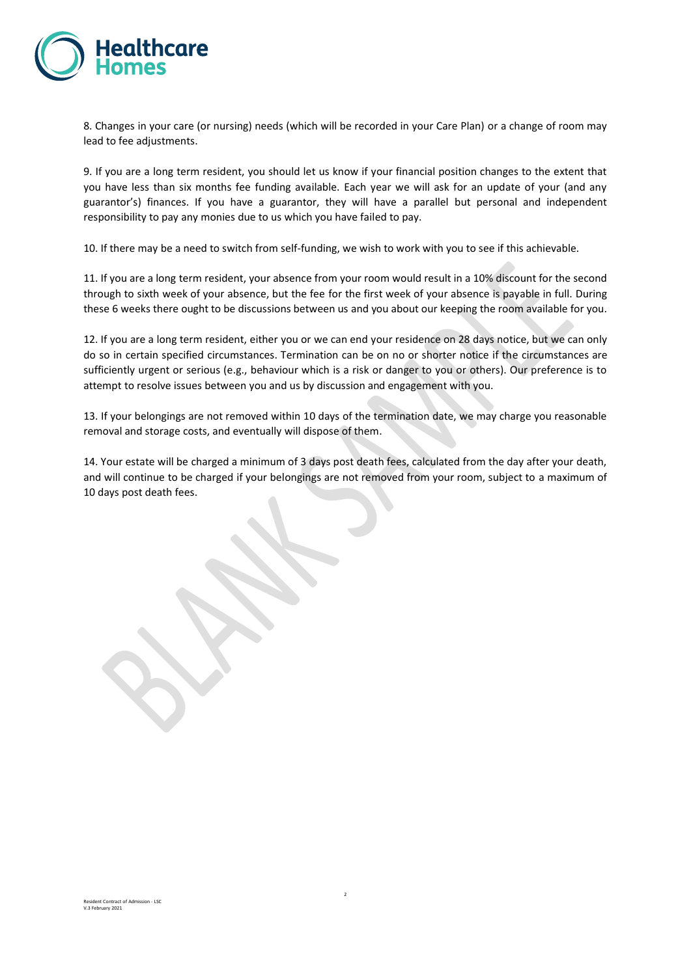

8. Changes in your care (or nursing) needs (which will be recorded in your Care Plan) or a change of room may lead to fee adjustments.

9. If you are a long term resident, you should let us know if your financial position changes to the extent that you have less than six months fee funding available. Each year we will ask for an update of your (and any guarantor's) finances. If you have a guarantor, they will have a parallel but personal and independent responsibility to pay any monies due to us which you have failed to pay.

10. If there may be a need to switch from self-funding, we wish to work with you to see if this achievable.

11. If you are a long term resident, your absence from your room would result in a 10% discount for the second through to sixth week of your absence, but the fee for the first week of your absence is payable in full. During these 6 weeks there ought to be discussions between us and you about our keeping the room available for you.

12. If you are a long term resident, either you or we can end your residence on 28 days notice, but we can only do so in certain specified circumstances. Termination can be on no or shorter notice if the circumstances are sufficiently urgent or serious (e.g., behaviour which is a risk or danger to you or others). Our preference is to attempt to resolve issues between you and us by discussion and engagement with you.

13. If your belongings are not removed within 10 days of the termination date, we may charge you reasonable removal and storage costs, and eventually will dispose of them.

14. Your estate will be charged a minimum of 3 days post death fees, calculated from the day after your death, and will continue to be charged if your belongings are not removed from your room, subject to a maximum of 10 days post death fees.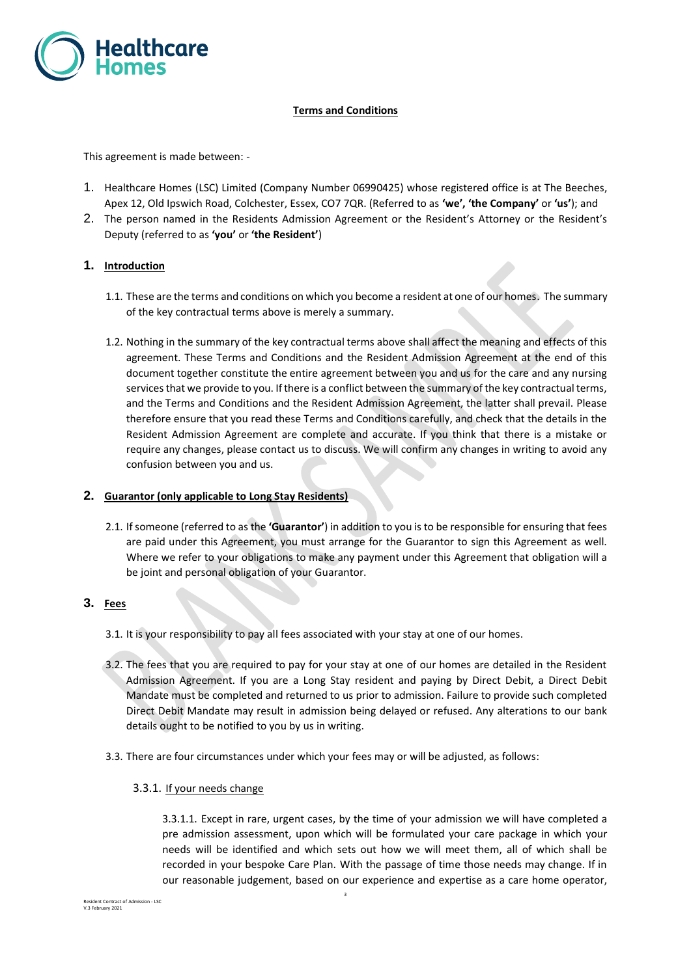

# **Terms and Conditions**

This agreement is made between: -

- 1. Healthcare Homes (LSC) Limited (Company Number 06990425) whose registered office is at The Beeches, Apex 12, Old Ipswich Road, Colchester, Essex, CO7 7QR. (Referred to as **'we', 'the Company'** or **'us'**); and
- 2. The person named in the Residents Admission Agreement or the Resident's Attorney or the Resident's Deputy (referred to as **'you'** or **'the Resident'**)

#### **1. Introduction**

- 1.1. These are the terms and conditions on which you become a resident at one of our homes. The summary of the key contractual terms above is merely a summary.
- 1.2. Nothing in the summary of the key contractual terms above shall affect the meaning and effects of this agreement. These Terms and Conditions and the Resident Admission Agreement at the end of this document together constitute the entire agreement between you and us for the care and any nursing services that we provide to you. If there is a conflict between the summary of the key contractual terms, and the Terms and Conditions and the Resident Admission Agreement, the latter shall prevail. Please therefore ensure that you read these Terms and Conditions carefully, and check that the details in the Resident Admission Agreement are complete and accurate. If you think that there is a mistake or require any changes, please contact us to discuss. We will confirm any changes in writing to avoid any confusion between you and us.

#### **2. Guarantor (only applicable to Long Stay Residents)**

2.1. If someone (referred to as the **'Guarantor'**) in addition to you is to be responsible for ensuring that fees are paid under this Agreement, you must arrange for the Guarantor to sign this Agreement as well. Where we refer to your obligations to make any payment under this Agreement that obligation will a be joint and personal obligation of your Guarantor.

#### **3. Fees**

- 3.1. It is your responsibility to pay all fees associated with your stay at one of our homes.
- 3.2. The fees that you are required to pay for your stay at one of our homes are detailed in the Resident Admission Agreement. If you are a Long Stay resident and paying by Direct Debit, a Direct Debit Mandate must be completed and returned to us prior to admission. Failure to provide such completed Direct Debit Mandate may result in admission being delayed or refused. Any alterations to our bank details ought to be notified to you by us in writing.
- 3.3. There are four circumstances under which your fees may or will be adjusted, as follows:
	- 3.3.1. If your needs change

3.3.1.1. Except in rare, urgent cases, by the time of your admission we will have completed a pre admission assessment, upon which will be formulated your care package in which your needs will be identified and which sets out how we will meet them, all of which shall be recorded in your bespoke Care Plan. With the passage of time those needs may change. If in our reasonable judgement, based on our experience and expertise as a care home operator,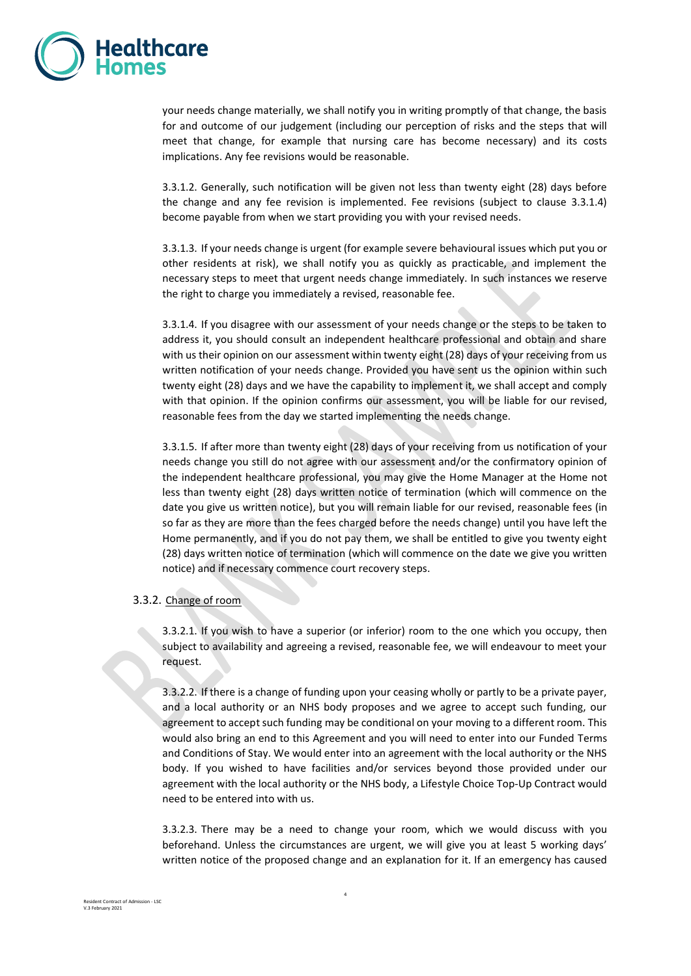

your needs change materially, we shall notify you in writing promptly of that change, the basis for and outcome of our judgement (including our perception of risks and the steps that will meet that change, for example that nursing care has become necessary) and its costs implications. Any fee revisions would be reasonable.

3.3.1.2. Generally, such notification will be given not less than twenty eight (28) days before the change and any fee revision is implemented. Fee revisions (subject to clause 3.3.1.4) become payable from when we start providing you with your revised needs.

3.3.1.3. If your needs change is urgent (for example severe behavioural issues which put you or other residents at risk), we shall notify you as quickly as practicable, and implement the necessary steps to meet that urgent needs change immediately. In such instances we reserve the right to charge you immediately a revised, reasonable fee.

3.3.1.4. If you disagree with our assessment of your needs change or the steps to be taken to address it, you should consult an independent healthcare professional and obtain and share with us their opinion on our assessment within twenty eight (28) days of your receiving from us written notification of your needs change. Provided you have sent us the opinion within such twenty eight (28) days and we have the capability to implement it, we shall accept and comply with that opinion. If the opinion confirms our assessment, you will be liable for our revised, reasonable fees from the day we started implementing the needs change.

3.3.1.5. If after more than twenty eight (28) days of your receiving from us notification of your needs change you still do not agree with our assessment and/or the confirmatory opinion of the independent healthcare professional, you may give the Home Manager at the Home not less than twenty eight (28) days written notice of termination (which will commence on the date you give us written notice), but you will remain liable for our revised, reasonable fees (in so far as they are more than the fees charged before the needs change) until you have left the Home permanently, and if you do not pay them, we shall be entitled to give you twenty eight (28) days written notice of termination (which will commence on the date we give you written notice) and if necessary commence court recovery steps.

#### 3.3.2. Change of room

3.3.2.1. If you wish to have a superior (or inferior) room to the one which you occupy, then subject to availability and agreeing a revised, reasonable fee, we will endeavour to meet your request.

3.3.2.2. If there is a change of funding upon your ceasing wholly or partly to be a private payer, and a local authority or an NHS body proposes and we agree to accept such funding, our agreement to accept such funding may be conditional on your moving to a different room. This would also bring an end to this Agreement and you will need to enter into our Funded Terms and Conditions of Stay. We would enter into an agreement with the local authority or the NHS body. If you wished to have facilities and/or services beyond those provided under our agreement with the local authority or the NHS body, a Lifestyle Choice Top-Up Contract would need to be entered into with us.

3.3.2.3. There may be a need to change your room, which we would discuss with you beforehand. Unless the circumstances are urgent, we will give you at least 5 working days' written notice of the proposed change and an explanation for it. If an emergency has caused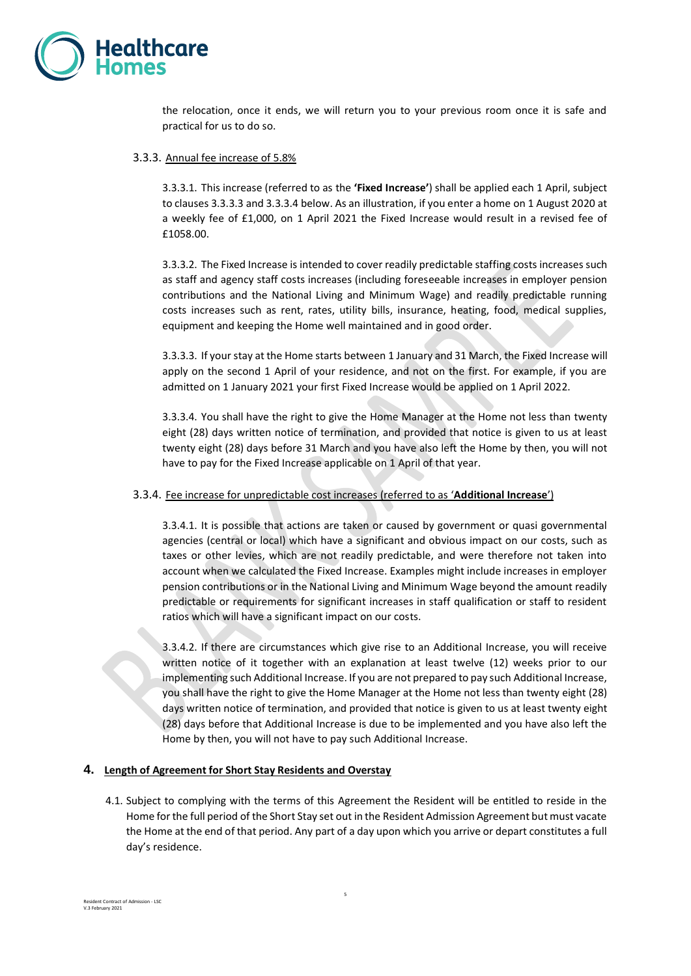

the relocation, once it ends, we will return you to your previous room once it is safe and practical for us to do so.

#### 3.3.3. Annual fee increase of 5.8%

3.3.3.1. This increase (referred to as the **'Fixed Increase'**) shall be applied each 1 April, subject to clauses 3.3.3.3 and 3.3.3.4 below. As an illustration, if you enter a home on 1 August 2020 at a weekly fee of £1,000, on 1 April 2021 the Fixed Increase would result in a revised fee of £1058.00.

3.3.3.2. The Fixed Increase is intended to cover readily predictable staffing costs increases such as staff and agency staff costs increases (including foreseeable increases in employer pension contributions and the National Living and Minimum Wage) and readily predictable running costs increases such as rent, rates, utility bills, insurance, heating, food, medical supplies, equipment and keeping the Home well maintained and in good order.

3.3.3.3. If your stay at the Home starts between 1 January and 31 March, the Fixed Increase will apply on the second 1 April of your residence, and not on the first. For example, if you are admitted on 1 January 2021 your first Fixed Increase would be applied on 1 April 2022.

3.3.3.4. You shall have the right to give the Home Manager at the Home not less than twenty eight (28) days written notice of termination, and provided that notice is given to us at least twenty eight (28) days before 31 March and you have also left the Home by then, you will not have to pay for the Fixed Increase applicable on 1 April of that year.

#### 3.3.4. Fee increase for unpredictable cost increases (referred to as '**Additional Increase**')

3.3.4.1. It is possible that actions are taken or caused by government or quasi governmental agencies (central or local) which have a significant and obvious impact on our costs, such as taxes or other levies, which are not readily predictable, and were therefore not taken into account when we calculated the Fixed Increase. Examples might include increases in employer pension contributions or in the National Living and Minimum Wage beyond the amount readily predictable or requirements for significant increases in staff qualification or staff to resident ratios which will have a significant impact on our costs.

3.3.4.2. If there are circumstances which give rise to an Additional Increase, you will receive written notice of it together with an explanation at least twelve (12) weeks prior to our implementing such Additional Increase. If you are not prepared to pay such Additional Increase, you shall have the right to give the Home Manager at the Home not less than twenty eight (28) days written notice of termination, and provided that notice is given to us at least twenty eight (28) days before that Additional Increase is due to be implemented and you have also left the Home by then, you will not have to pay such Additional Increase.

#### **4. Length of Agreement for Short Stay Residents and Overstay**

4.1. Subject to complying with the terms of this Agreement the Resident will be entitled to reside in the Home for the full period of the Short Stay set out in the Resident Admission Agreement but must vacate the Home at the end of that period. Any part of a day upon which you arrive or depart constitutes a full day's residence.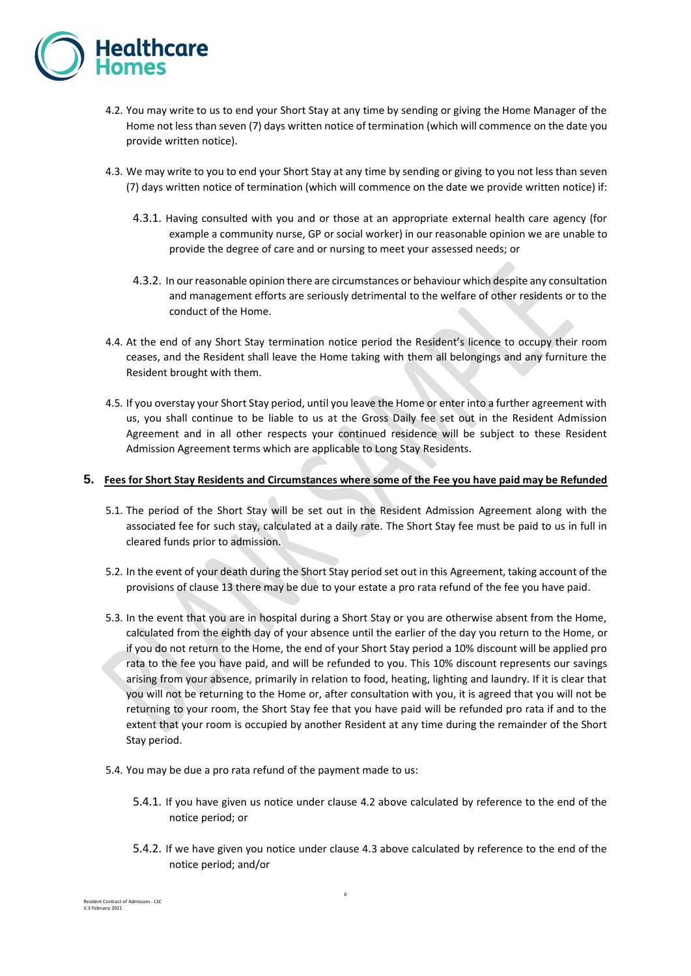

- 4.2. You may write to us to end your Short Stay at any time by sending or giving the Home Manager of the Home not less than seven (7) days written notice of termination (which will commence on the date you provide written notice).
- 4.3. We may write to you to end your Short Stay at any time by sending or giving to you not less than seven (7) days written notice of termination (which will commence on the date we provide written notice) if:
	- 4.3.1. Having consulted with you and or those at an appropriate external health care agency (for example a community nurse, GP or social worker) in our reasonable opinion we are unable to provide the degree of care and or nursing to meet your assessed needs; or
	- 4.3.2. In our reasonable opinion there are circumstances or behaviour which despite any consultation and management efforts are seriously detrimental to the welfare of other residents or to the conduct of the Home.
- 4.4. At the end of any Short Stay termination notice period the Resident's licence to occupy their room ceases, and the Resident shall leave the Home taking with them all belongings and any furniture the Resident brought with them.
- 4.5. If you overstay your Short Stay period, until you leave the Home or enter into a further agreement with us, you shall continue to be liable to us at the Gross Daily fee set out in the Resident Admission Agreement and in all other respects your continued residence will be subject to these Resident Admission Agreement terms which are applicable to Long Stay Residents.

#### **5. Fees for Short Stay Residents and Circumstances where some of the Fee you have paid may be Refunded**

- 5.1. The period of the Short Stay will be set out in the Resident Admission Agreement along with the associated fee for such stay, calculated at a daily rate. The Short Stay fee must be paid to us in full in cleared funds prior to admission.
- 5.2. In the event of your death during the Short Stay period set out in this Agreement, taking account of the provisions of clause [13](#page-10-0) there may be due to your estate a pro rata refund of the fee you have paid.
- 5.3. In the event that you are in hospital during a Short Stay or you are otherwise absent from the Home, calculated from the eighth day of your absence until the earlier of the day you return to the Home, or if you do not return to the Home, the end of your Short Stay period a 10% discount will be applied pro rata to the fee you have paid, and will be refunded to you. This 10% discount represents our savings arising from your absence, primarily in relation to food, heating, lighting and laundry. If it is clear that you will not be returning to the Home or, after consultation with you, it is agreed that you will not be returning to your room, the Short Stay fee that you have paid will be refunded pro rata if and to the extent that your room is occupied by another Resident at any time during the remainder of the Short Stay period.
- 5.4. You may be due a pro rata refund of the payment made to us:
	- 5.4.1. If you have given us notice under clause 4.2 above calculated by reference to the end of the notice period; or
	- 5.4.2. If we have given you notice under clause 4.3 above calculated by reference to the end of the notice period; and/or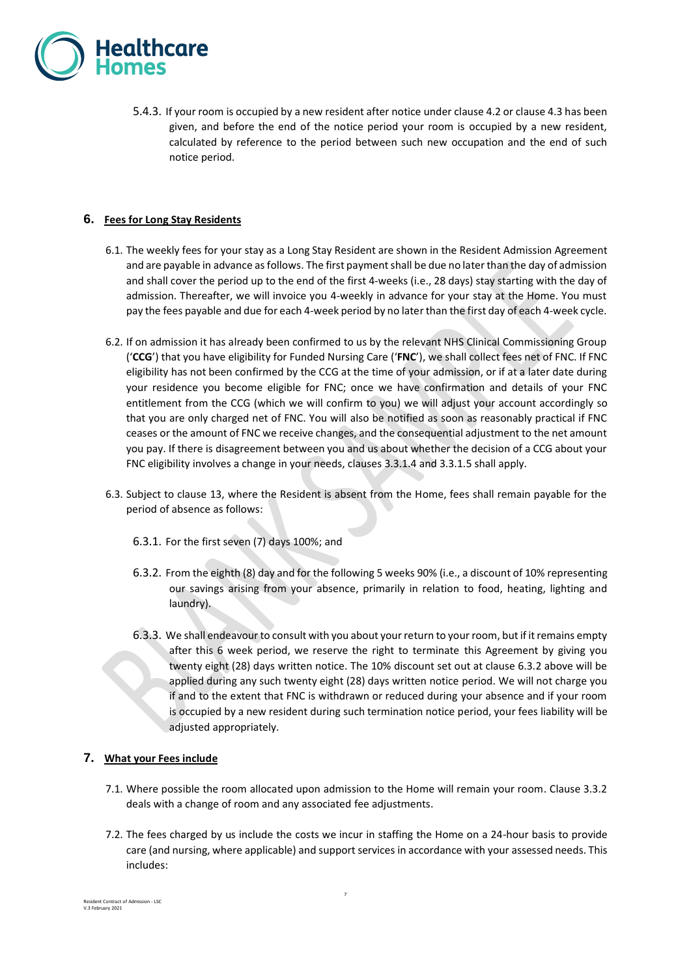

5.4.3. If your room is occupied by a new resident after notice under clause 4.2 or clause 4.3 has been given, and before the end of the notice period your room is occupied by a new resident, calculated by reference to the period between such new occupation and the end of such notice period.

## **6. Fees for Long Stay Residents**

- 6.1. The weekly fees for your stay as a Long Stay Resident are shown in the Resident Admission Agreement and are payable in advance as follows. The first payment shall be due no later than the day of admission and shall cover the period up to the end of the first 4-weeks (i.e., 28 days) stay starting with the day of admission. Thereafter, we will invoice you 4-weekly in advance for your stay at the Home. You must pay the fees payable and due for each 4-week period by no later than the first day of each 4-week cycle.
- 6.2. If on admission it has already been confirmed to us by the relevant NHS Clinical Commissioning Group ('**CCG**') that you have eligibility for Funded Nursing Care ('**FNC**'), we shall collect fees net of FNC. If FNC eligibility has not been confirmed by the CCG at the time of your admission, or if at a later date during your residence you become eligible for FNC; once we have confirmation and details of your FNC entitlement from the CCG (which we will confirm to you) we will adjust your account accordingly so that you are only charged net of FNC. You will also be notified as soon as reasonably practical if FNC ceases or the amount of FNC we receive changes, and the consequential adjustment to the net amount you pay. If there is disagreement between you and us about whether the decision of a CCG about your FNC eligibility involves a change in your needs, clauses 3.3.1.4 and 3.3.1.5 shall apply.
- 6.3. Subject to clause [13,](#page-10-0) where the Resident is absent from the Home, fees shall remain payable for the period of absence as follows:
	- 6.3.1. For the first seven (7) days 100%; and
	- 6.3.2. From the eighth (8) day and for the following 5 weeks 90% (i.e., a discount of 10% representing our savings arising from your absence, primarily in relation to food, heating, lighting and laundry).
	- 6.3.3. We shall endeavour to consult with you about your return to your room, but if it remains empty after this 6 week period, we reserve the right to terminate this Agreement by giving you twenty eight (28) days written notice. The 10% discount set out at clause 6.3.2 above will be applied during any such twenty eight (28) days written notice period. We will not charge you if and to the extent that FNC is withdrawn or reduced during your absence and if your room is occupied by a new resident during such termination notice period, your fees liability will be adjusted appropriately.

# **7. What your Fees include**

- <span id="page-6-0"></span>7.1. Where possible the room allocated upon admission to the Home will remain your room. Clause 3.3.2 deals with a change of room and any associated fee adjustments.
- 7.2. The fees charged by us include the costs we incur in staffing the Home on a 24-hour basis to provide care (and nursing, where applicable) and support services in accordance with your assessed needs. This includes: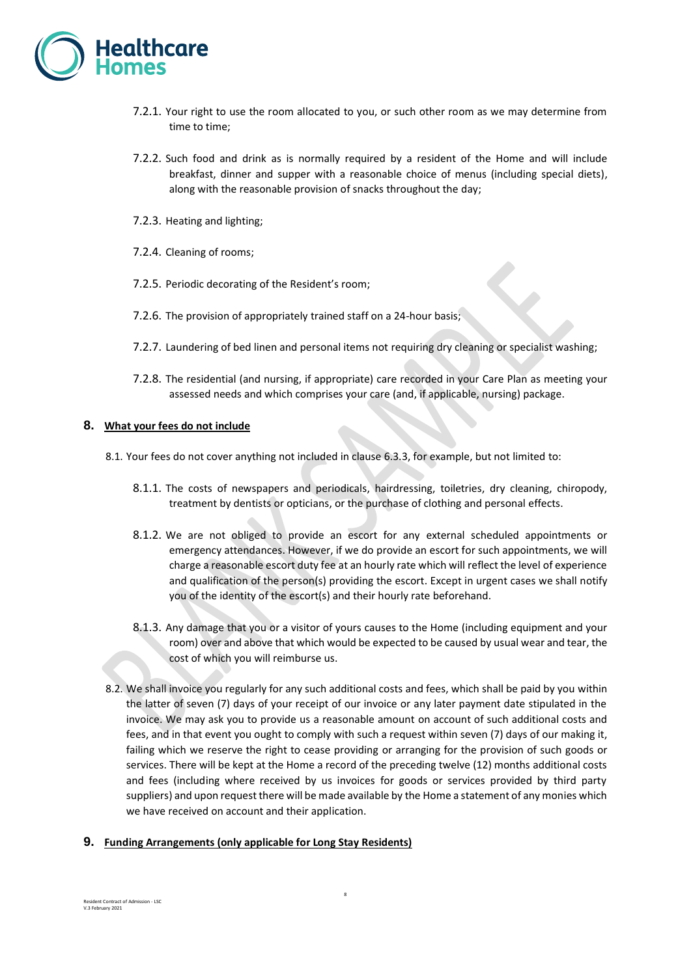

- 7.2.1. Your right to use the room allocated to you, or such other room as we may determine from time to time;
- 7.2.2. Such food and drink as is normally required by a resident of the Home and will include breakfast, dinner and supper with a reasonable choice of menus (including special diets), along with the reasonable provision of snacks throughout the day;
- 7.2.3. Heating and lighting;
- 7.2.4. Cleaning of rooms;
- 7.2.5. Periodic decorating of the Resident's room;
- 7.2.6. The provision of appropriately trained staff on a 24-hour basis;
- 7.2.7. Laundering of bed linen and personal items not requiring dry cleaning or specialist washing;
- 7.2.8. The residential (and nursing, if appropriate) care recorded in your Care Plan as meeting your assessed needs and which comprises your care (and, if applicable, nursing) package.

#### **8. What your fees do not include**

- 8.1. Your fees do not cover anything not included in clause [6.3.3,](#page-6-0) for example, but not limited to:
	- 8.1.1. The costs of newspapers and periodicals, hairdressing, toiletries, dry cleaning, chiropody, treatment by dentists or opticians, or the purchase of clothing and personal effects.
	- 8.1.2. We are not obliged to provide an escort for any external scheduled appointments or emergency attendances. However, if we do provide an escort for such appointments, we will charge a reasonable escort duty fee at an hourly rate which will reflect the level of experience and qualification of the person(s) providing the escort. Except in urgent cases we shall notify you of the identity of the escort(s) and their hourly rate beforehand.
	- 8.1.3. Any damage that you or a visitor of yours causes to the Home (including equipment and your room) over and above that which would be expected to be caused by usual wear and tear, the cost of which you will reimburse us.
- 8.2. We shall invoice you regularly for any such additional costs and fees, which shall be paid by you within the latter of seven (7) days of your receipt of our invoice or any later payment date stipulated in the invoice. We may ask you to provide us a reasonable amount on account of such additional costs and fees, and in that event you ought to comply with such a request within seven (7) days of our making it, failing which we reserve the right to cease providing or arranging for the provision of such goods or services. There will be kept at the Home a record of the preceding twelve (12) months additional costs and fees (including where received by us invoices for goods or services provided by third party suppliers) and upon request there will be made available by the Home a statement of any monies which we have received on account and their application.

#### **9. Funding Arrangements (only applicable for Long Stay Residents)**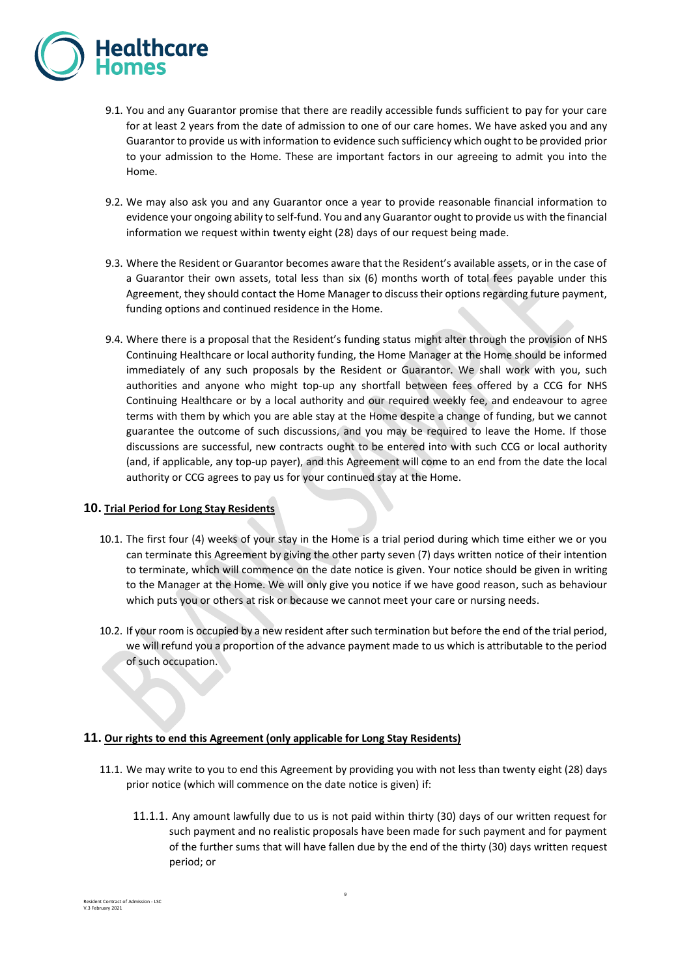

- 9.1. You and any Guarantor promise that there are readily accessible funds sufficient to pay for your care for at least 2 years from the date of admission to one of our care homes. We have asked you and any Guarantor to provide us with information to evidence such sufficiency which ought to be provided prior to your admission to the Home. These are important factors in our agreeing to admit you into the Home.
- 9.2. We may also ask you and any Guarantor once a year to provide reasonable financial information to evidence your ongoing ability to self-fund. You and any Guarantor ought to provide us with the financial information we request within twenty eight (28) days of our request being made.
- 9.3. Where the Resident or Guarantor becomes aware that the Resident's available assets, or in the case of a Guarantor their own assets, total less than six (6) months worth of total fees payable under this Agreement, they should contact the Home Manager to discuss their options regarding future payment, funding options and continued residence in the Home.
- 9.4. Where there is a proposal that the Resident's funding status might alter through the provision of NHS Continuing Healthcare or local authority funding, the Home Manager at the Home should be informed immediately of any such proposals by the Resident or Guarantor. We shall work with you, such authorities and anyone who might top-up any shortfall between fees offered by a CCG for NHS Continuing Healthcare or by a local authority and our required weekly fee, and endeavour to agree terms with them by which you are able stay at the Home despite a change of funding, but we cannot guarantee the outcome of such discussions, and you may be required to leave the Home. If those discussions are successful, new contracts ought to be entered into with such CCG or local authority (and, if applicable, any top-up payer), and this Agreement will come to an end from the date the local authority or CCG agrees to pay us for your continued stay at the Home.

# **10. Trial Period for Long Stay Residents**

- 10.1. The first four (4) weeks of your stay in the Home is a trial period during which time either we or you can terminate this Agreement by giving the other party seven (7) days written notice of their intention to terminate, which will commence on the date notice is given. Your notice should be given in writing to the Manager at the Home. We will only give you notice if we have good reason, such as behaviour which puts you or others at risk or because we cannot meet your care or nursing needs.
- 10.2. If your room is occupied by a new resident after such termination but before the end of the trial period, we will refund you a proportion of the advance payment made to us which is attributable to the period of such occupation.

#### **11. Our rights to end this Agreement (only applicable for Long Stay Residents)**

- 11.1. We may write to you to end this Agreement by providing you with not less than twenty eight (28) days prior notice (which will commence on the date notice is given) if:
	- 11.1.1. Any amount lawfully due to us is not paid within thirty (30) days of our written request for such payment and no realistic proposals have been made for such payment and for payment of the further sums that will have fallen due by the end of the thirty (30) days written request period; or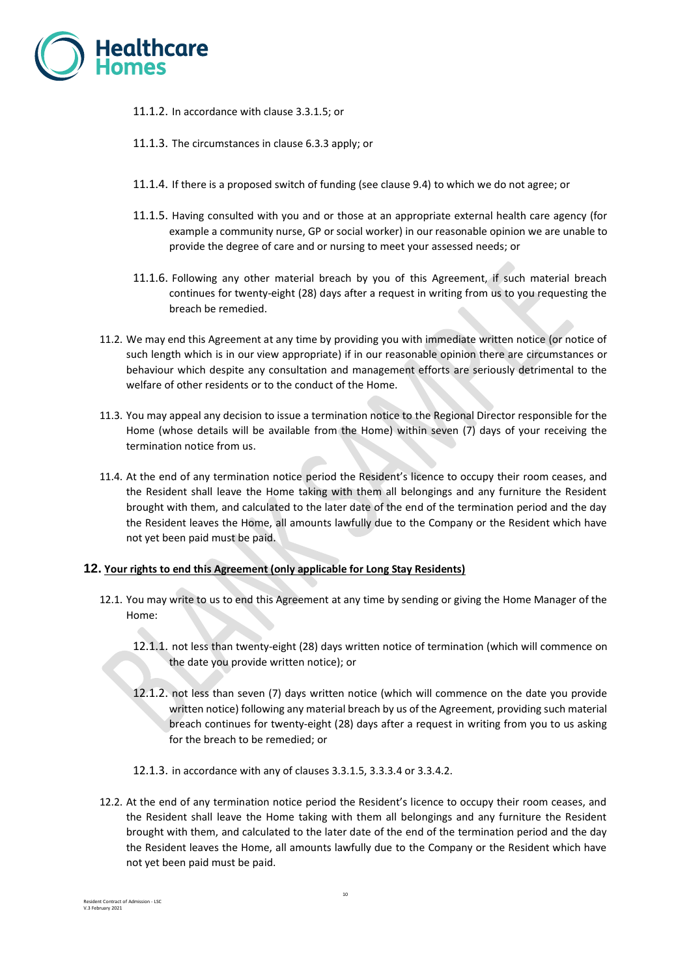

- 11.1.2. In accordance with clause 3.3.1.5; or
- 11.1.3. The circumstances in clause 6.3.3 apply; or
- 11.1.4. If there is a proposed switch of funding (see clause 9.4) to which we do not agree; or
- 11.1.5. Having consulted with you and or those at an appropriate external health care agency (for example a community nurse, GP or social worker) in our reasonable opinion we are unable to provide the degree of care and or nursing to meet your assessed needs; or
- 11.1.6. Following any other material breach by you of this Agreement, if such material breach continues for twenty-eight (28) days after a request in writing from us to you requesting the breach be remedied.
- 11.2. We may end this Agreement at any time by providing you with immediate written notice (or notice of such length which is in our view appropriate) if in our reasonable opinion there are circumstances or behaviour which despite any consultation and management efforts are seriously detrimental to the welfare of other residents or to the conduct of the Home.
- 11.3. You may appeal any decision to issue a termination notice to the Regional Director responsible for the Home (whose details will be available from the Home) within seven (7) days of your receiving the termination notice from us.
- 11.4. At the end of any termination notice period the Resident's licence to occupy their room ceases, and the Resident shall leave the Home taking with them all belongings and any furniture the Resident brought with them, and calculated to the later date of the end of the termination period and the day the Resident leaves the Home, all amounts lawfully due to the Company or the Resident which have not yet been paid must be paid.

#### **12. Your rights to end this Agreement (only applicable for Long Stay Residents)**

- 12.1. You may write to us to end this Agreement at any time by sending or giving the Home Manager of the Home:
	- 12.1.1. not less than twenty-eight (28) days written notice of termination (which will commence on the date you provide written notice); or
	- 12.1.2. not less than seven (7) days written notice (which will commence on the date you provide written notice) following any material breach by us of the Agreement, providing such material breach continues for twenty-eight (28) days after a request in writing from you to us asking for the breach to be remedied; or
	- 12.1.3. in accordance with any of clauses 3.3.1.5, 3.3.3.4 or 3.3.4.2.
- 12.2. At the end of any termination notice period the Resident's licence to occupy their room ceases, and the Resident shall leave the Home taking with them all belongings and any furniture the Resident brought with them, and calculated to the later date of the end of the termination period and the day the Resident leaves the Home, all amounts lawfully due to the Company or the Resident which have not yet been paid must be paid.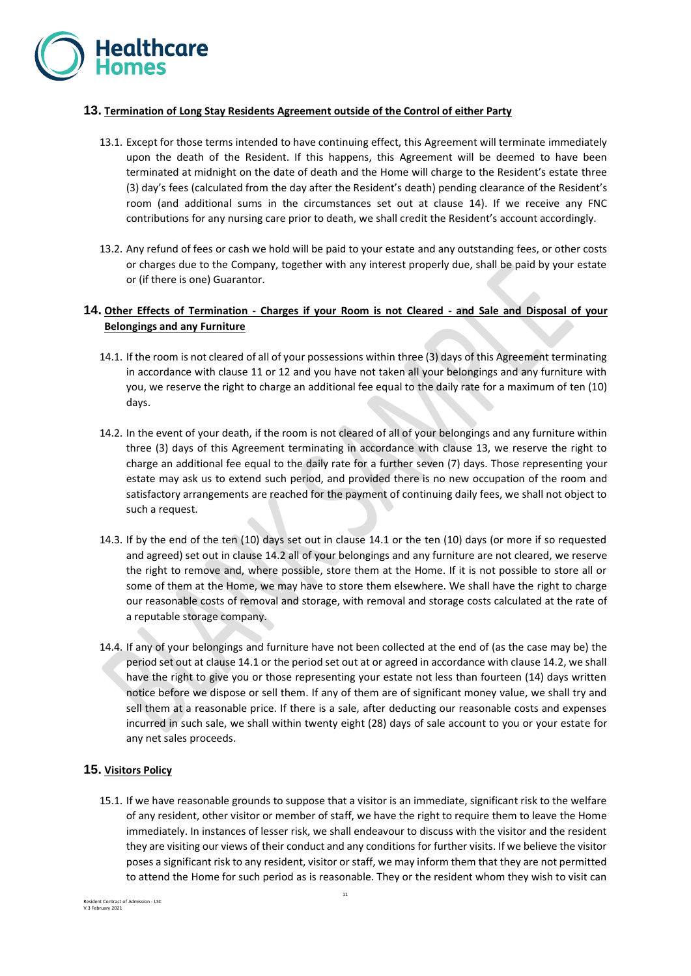

## **13. Termination of Long Stay Residents Agreement outside of the Control of either Party**

- <span id="page-10-0"></span>13.1. Except for those terms intended to have continuing effect, this Agreement will terminate immediately upon the death of the Resident. If this happens, this Agreement will be deemed to have been terminated at midnight on the date of death and the Home will charge to the Resident's estate three (3) day's fees (calculated from the day after the Resident's death) pending clearance of the Resident's room (and additional sums in the circumstances set out at clause 14). If we receive any FNC contributions for any nursing care prior to death, we shall credit the Resident's account accordingly.
- 13.2. Any refund of fees or cash we hold will be paid to your estate and any outstanding fees, or other costs or charges due to the Company, together with any interest properly due, shall be paid by your estate or (if there is one) Guarantor.

# **14. Other Effects of Termination - Charges if your Room is not Cleared - and Sale and Disposal of your Belongings and any Furniture**

- 14.1. If the room is not cleared of all of your possessions within three (3) days of this Agreement terminating in accordance with clause 11 or 12 and you have not taken all your belongings and any furniture with you, we reserve the right to charge an additional fee equal to the daily rate for a maximum of ten (10) days.
- 14.2. In the event of your death, if the room is not cleared of all of your belongings and any furniture within three (3) days of this Agreement terminating in accordance with clause [13,](#page-10-0) we reserve the right to charge an additional fee equal to the daily rate for a further seven (7) days. Those representing your estate may ask us to extend such period, and provided there is no new occupation of the room and satisfactory arrangements are reached for the payment of continuing daily fees, we shall not object to such a request.
- 14.3. If by the end of the ten (10) days set out in clause 14.1 or the ten (10) days (or more if so requested and agreed) set out in clause 14.2 all of your belongings and any furniture are not cleared, we reserve the right to remove and, where possible, store them at the Home. If it is not possible to store all or some of them at the Home, we may have to store them elsewhere. We shall have the right to charge our reasonable costs of removal and storage, with removal and storage costs calculated at the rate of a reputable storage company.
- 14.4. If any of your belongings and furniture have not been collected at the end of (as the case may be) the period set out at clause 14.1 or the period set out at or agreed in accordance with clause 14.2, we shall have the right to give you or those representing your estate not less than fourteen (14) days written notice before we dispose or sell them. If any of them are of significant money value, we shall try and sell them at a reasonable price. If there is a sale, after deducting our reasonable costs and expenses incurred in such sale, we shall within twenty eight (28) days of sale account to you or your estate for any net sales proceeds.

# **15. Visitors Policy**

15.1. If we have reasonable grounds to suppose that a visitor is an immediate, significant risk to the welfare of any resident, other visitor or member of staff, we have the right to require them to leave the Home immediately. In instances of lesser risk, we shall endeavour to discuss with the visitor and the resident they are visiting our views of their conduct and any conditions for further visits. If we believe the visitor poses a significant risk to any resident, visitor or staff, we may inform them that they are not permitted to attend the Home for such period as is reasonable. They or the resident whom they wish to visit can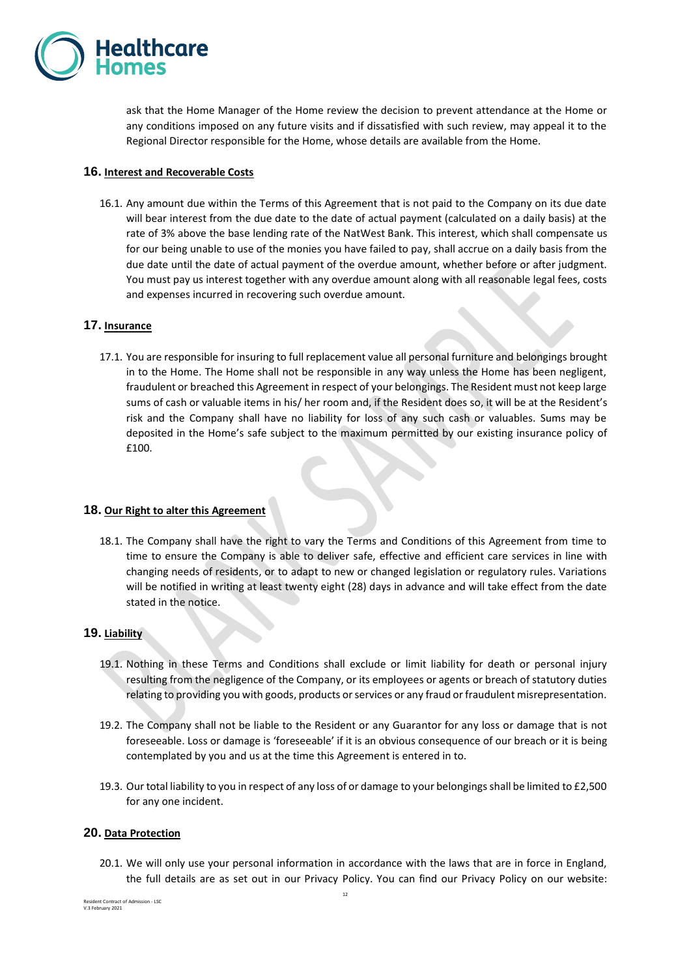

ask that the Home Manager of the Home review the decision to prevent attendance at the Home or any conditions imposed on any future visits and if dissatisfied with such review, may appeal it to the Regional Director responsible for the Home, whose details are available from the Home.

## **16. Interest and Recoverable Costs**

16.1. Any amount due within the Terms of this Agreement that is not paid to the Company on its due date will bear interest from the due date to the date of actual payment (calculated on a daily basis) at the rate of 3% above the base lending rate of the NatWest Bank. This interest, which shall compensate us for our being unable to use of the monies you have failed to pay, shall accrue on a daily basis from the due date until the date of actual payment of the overdue amount, whether before or after judgment. You must pay us interest together with any overdue amount along with all reasonable legal fees, costs and expenses incurred in recovering such overdue amount.

## **17. Insurance**

17.1. You are responsible for insuring to full replacement value all personal furniture and belongings brought in to the Home. The Home shall not be responsible in any way unless the Home has been negligent, fraudulent or breached this Agreement in respect of your belongings. The Resident must not keep large sums of cash or valuable items in his/ her room and, if the Resident does so, it will be at the Resident's risk and the Company shall have no liability for loss of any such cash or valuables. Sums may be deposited in the Home's safe subject to the maximum permitted by our existing insurance policy of £100.

#### **18. Our Right to alter this Agreement**

18.1. The Company shall have the right to vary the Terms and Conditions of this Agreement from time to time to ensure the Company is able to deliver safe, effective and efficient care services in line with changing needs of residents, or to adapt to new or changed legislation or regulatory rules. Variations will be notified in writing at least twenty eight (28) days in advance and will take effect from the date stated in the notice.

#### **19. Liability**

- 19.1. Nothing in these Terms and Conditions shall exclude or limit liability for death or personal injury resulting from the negligence of the Company, or its employees or agents or breach of statutory duties relating to providing you with goods, products or services or any fraud or fraudulent misrepresentation.
- 19.2. The Company shall not be liable to the Resident or any Guarantor for any loss or damage that is not foreseeable. Loss or damage is 'foreseeable' if it is an obvious consequence of our breach or it is being contemplated by you and us at the time this Agreement is entered in to.
- 19.3. Our total liability to you in respect of any loss of or damage to your belongings shall be limited to £2,500 for any one incident.

## **20. Data Protection**

20.1. We will only use your personal information in accordance with the laws that are in force in England, the full details are as set out in our Privacy Policy. You can find our Privacy Policy on our website:

Resident Contract of Admission - LSC V.3 February 2021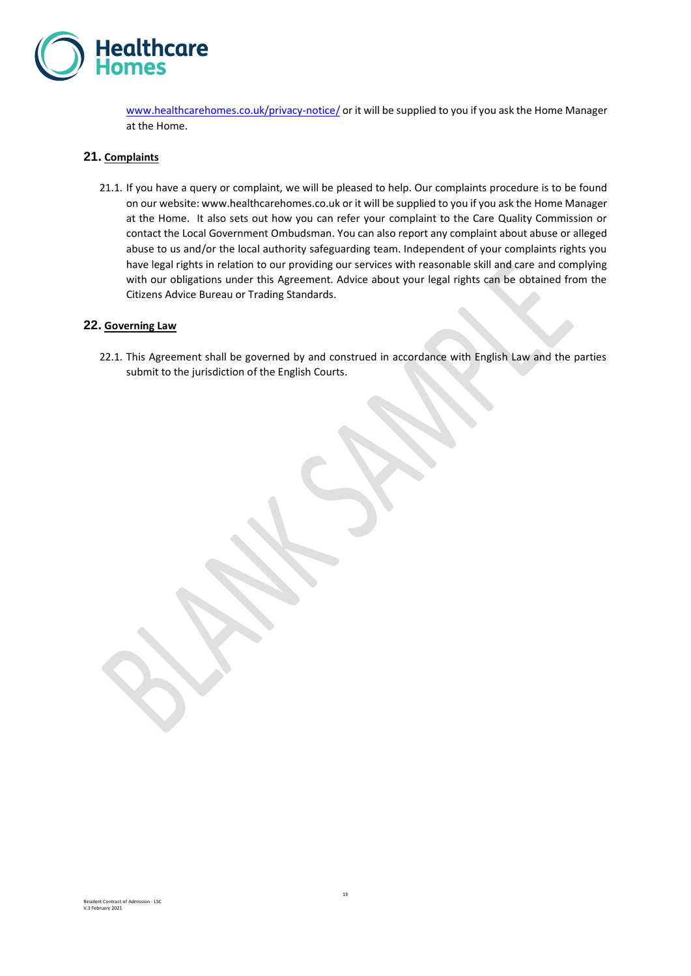

[www.healthcarehomes.co.uk/privacy-notice/](http://www.healthcarehomes.co.uk/privacy-notice/) or it will be supplied to you if you ask the Home Manager at the Home.

## **21. Complaints**

21.1. If you have a query or complaint, we will be pleased to help. Our complaints procedure is to be found on our website: www.healthcarehomes.co.uk or it will be supplied to you if you ask the Home Manager at the Home. It also sets out how you can refer your complaint to the Care Quality Commission or contact the Local Government Ombudsman. You can also report any complaint about abuse or alleged abuse to us and/or the local authority safeguarding team. Independent of your complaints rights you have legal rights in relation to our providing our services with reasonable skill and care and complying with our obligations under this Agreement. Advice about your legal rights can be obtained from the Citizens Advice Bureau or Trading Standards.

#### **22. Governing Law**

22.1. This Agreement shall be governed by and construed in accordance with English Law and the parties submit to the jurisdiction of the English Courts.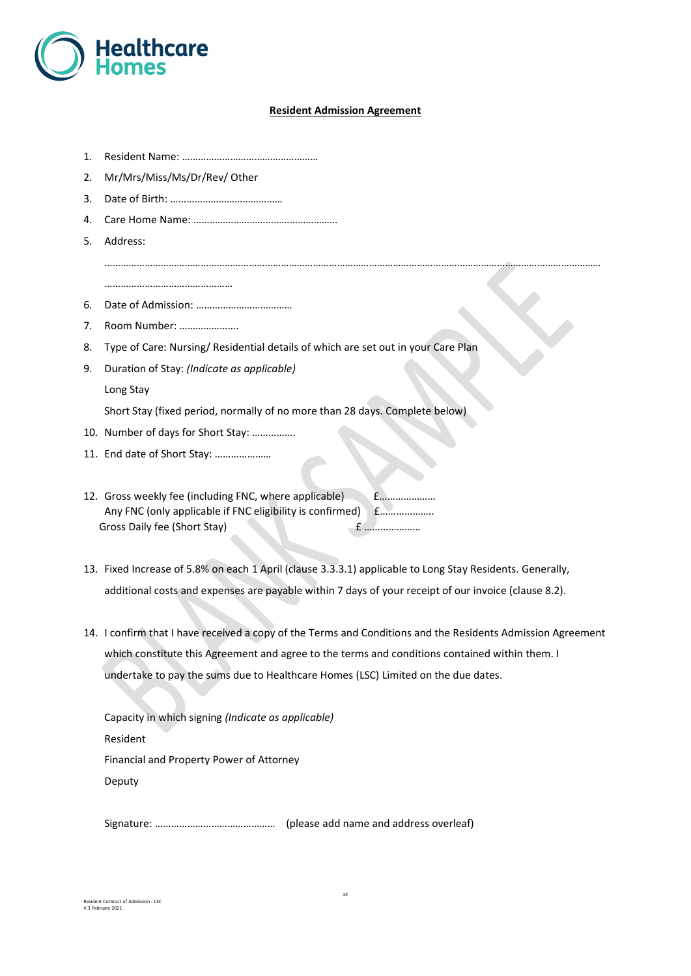

#### **Resident Admission Agreement**

……………………………………………………………………………………………………………………………………………………………………

- 1. Resident Name: ……………………………………………
- 2. Mr/Mrs/Miss/Ms/Dr/Rev/ Other
- 3. Date of Birth: ……………………………………
- 4. Care Home Name: ………………………………………………
- 5. Address:

…………………………………………

- 6. Date of Admission: ………………………………
- 7. Room Number: ………………….
- 8. Type of Care: Nursing/ Residential details of which are set out in your Care Plan
- 9. Duration of Stay: *(Indicate as applicable)*

Long Stay

Short Stay (fixed period, normally of no more than 28 days. Complete below)

- 10. Number of days for Short Stay: …………….
- 11. End date of Short Stay: …………………
- 12. Gross weekly fee (including FNC, where applicable) £………………… Any FNC (only applicable if FNC eligibility is confirmed) £………………… Gross Daily fee (Short Stay) £ …………………
- 13. Fixed Increase of 5.8% on each 1 April (clause 3.3.3.1) applicable to Long Stay Residents. Generally, additional costs and expenses are payable within 7 days of your receipt of our invoice (clause 8.2).
- 14. I confirm that I have received a copy of the Terms and Conditions and the Residents Admission Agreement which constitute this Agreement and agree to the terms and conditions contained within them. I undertake to pay the sums due to Healthcare Homes (LSC) Limited on the due dates.

Capacity in which signing *(Indicate as applicable)* Resident Financial and Property Power of Attorney Deputy

Signature: ……………………………………… (please add name and address overleaf)